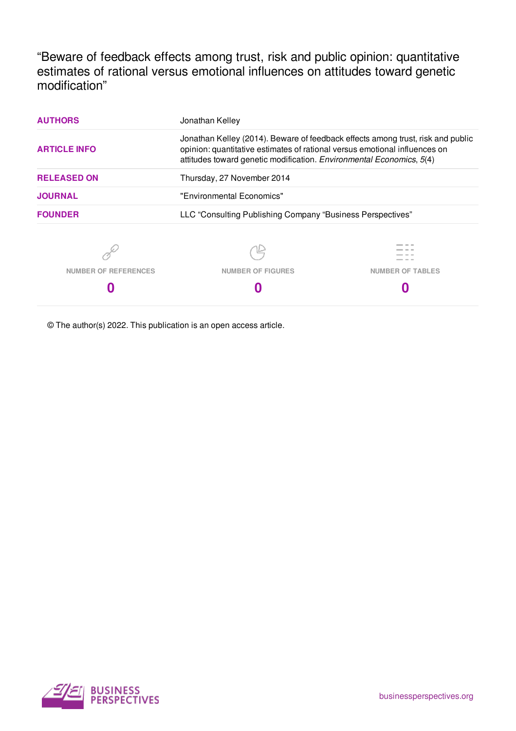"Beware of feedback effects among trust, risk and public opinion: quantitative estimates of rational versus emotional influences on attitudes toward genetic modification"

| <b>AUTHORS</b>              | Jonathan Kelley                                                                                                                                                                                                                       |                         |
|-----------------------------|---------------------------------------------------------------------------------------------------------------------------------------------------------------------------------------------------------------------------------------|-------------------------|
| <b>ARTICLE INFO</b>         | Jonathan Kelley (2014). Beware of feedback effects among trust, risk and public<br>opinion: quantitative estimates of rational versus emotional influences on<br>attitudes toward genetic modification. Environmental Economics, 5(4) |                         |
| <b>RELEASED ON</b>          | Thursday, 27 November 2014                                                                                                                                                                                                            |                         |
| <b>JOURNAL</b>              | "Environmental Economics"                                                                                                                                                                                                             |                         |
| <b>FOUNDER</b>              | LLC "Consulting Publishing Company "Business Perspectives"                                                                                                                                                                            |                         |
| <b>NUMBER OF REFERENCES</b> | <b>NUMBER OF FIGURES</b>                                                                                                                                                                                                              | <b>NUMBER OF TABLES</b> |

© The author(s) 2022. This publication is an open access article.

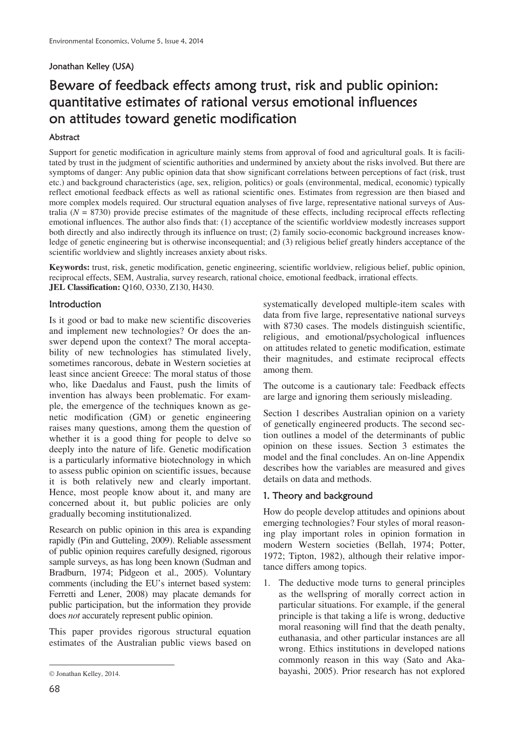# Jonathan Kelley (USA)

# Beware of feedback effects among trust, risk and public opinion: quantitative estimates of rational versus emotional influences on attitudes toward genetic modification

## Abstract

Support for genetic modification in agriculture mainly stems from approval of food and agricultural goals. It is facilitated by trust in the judgment of scientific authorities and undermined by anxiety about the risks involved. But there are symptoms of danger: Any public opinion data that show significant correlations between perceptions of fact (risk, trust etc.) and background characteristics (age, sex, religion, politics) or goals (environmental, medical, economic) typically reflect emotional feedback effects as well as rational scientific ones. Estimates from regression are then biased and more complex models required. Our structural equation analyses of five large, representative national surveys of Australia  $(N = 8730)$  provide precise estimates of the magnitude of these effects, including reciprocal effects reflecting emotional influences. The author also finds that: (1) acceptance of the scientific worldview modestly increases support both directly and also indirectly through its influence on trust; (2) family socio-economic background increases knowledge of genetic engineering but is otherwise inconsequential; and (3) religious belief greatly hinders acceptance of the scientific worldview and slightly increases anxiety about risks.

**Keywords:** trust, risk, genetic modification, genetic engineering, scientific worldview, religious belief, public opinion, reciprocal effects, SEM, Australia, survey research, rational choice, emotional feedback, irrational effects. **JEL Classification:** Q160, O330, Z130, H430.

## Introduction

Is it good or bad to make new scientific discoveries and implement new technologies? Or does the answer depend upon the context? The moral acceptability of new technologies has stimulated lively, sometimes rancorous, debate in Western societies at least since ancient Greece: The moral status of those who, like Daedalus and Faust, push the limits of invention has always been problematic. For example, the emergence of the techniques known as genetic modification (GM) or genetic engineering raises many questions, among them the question of whether it is a good thing for people to delve so deeply into the nature of life. Genetic modification is a particularly informative biotechnology in which to assess public opinion on scientific issues, because it is both relatively new and clearly important. Hence, most people know about it, and many are concerned about it, but public policies are only gradually becoming institutionalized.

Research on public opinion in this area is expanding rapidly (Pin and Gutteling, 2009). Reliable assessment of public opinion requires carefully designed, rigorous sample surveys, as has long been known (Sudman and Bradburn, 1974; Pidgeon et al., 2005). Voluntary comments (including the EU's internet based system: Ferretti and Lener, 2008) may placate demands for public participation, but the information they provide does *not* accurately represent public opinion.

This paper provides rigorous structural equation estimates of the Australian public views based on systematically developed multiple-item scales with data from five large, representative national surveys with 8730 cases. The models distinguish scientific, religious, and emotional/psychological influences on attitudes related to genetic modification, estimate their magnitudes, and estimate reciprocal effects among them.

The outcome is a cautionary tale: Feedback effects are large and ignoring them seriously misleading.

Section 1 describes Australian opinion on a variety of genetically engineered products. The second section outlines a model of the determinants of public opinion on these issues. Section 3 estimates the model and the final concludes. An on-line Appendix describes how the variables are measured and gives details on data and methods.

#### 1. Theory and background

How do people develop attitudes and opinions about emerging technologies? Four styles of moral reasoning play important roles in opinion formation in modern Western societies (Bellah, 1974; Potter, 1972; Tipton, 1982), although their relative importance differs among topics.

1. The deductive mode turns to general principles as the wellspring of morally correct action in particular situations. For example, if the general principle is that taking a life is wrong, deductive moral reasoning will find that the death penalty, euthanasia, and other particular instances are all wrong. Ethics institutions in developed nations commonly reason in this way (Sato and Akabayashi, 2005). Prior research has not explored

 $\overline{a}$ 

Jonathan Kelley, 2014.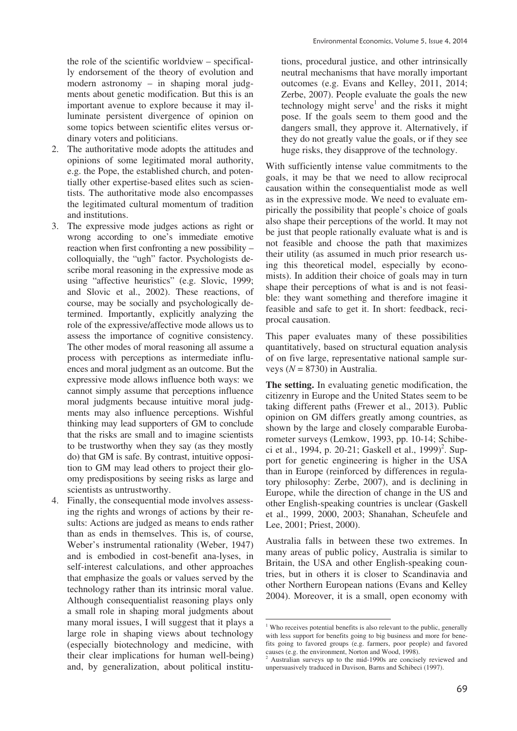the role of the scientific worldview – specifically endorsement of the theory of evolution and modern astronomy – in shaping moral judgments about genetic modification. But this is an important avenue to explore because it may illuminate persistent divergence of opinion on some topics between scientific elites versus ordinary voters and politicians.

- 2. The authoritative mode adopts the attitudes and opinions of some legitimated moral authority, e.g. the Pope, the established church, and potentially other expertise-based elites such as scientists. The authoritative mode also encompasses the legitimated cultural momentum of tradition and institutions.
- 3. The expressive mode judges actions as right or wrong according to one's immediate emotive reaction when first confronting a new possibility – colloquially, the "ugh" factor. Psychologists describe moral reasoning in the expressive mode as using "affective heuristics" (e.g. Slovic, 1999; and Slovic et al., 2002). These reactions, of course, may be socially and psychologically determined. Importantly, explicitly analyzing the role of the expressive/affective mode allows us to assess the importance of cognitive consistency. The other modes of moral reasoning all assume a process with perceptions as intermediate influences and moral judgment as an outcome. But the expressive mode allows influence both ways: we cannot simply assume that perceptions influence moral judgments because intuitive moral judgments may also influence perceptions. Wishful thinking may lead supporters of GM to conclude that the risks are small and to imagine scientists to be trustworthy when they say (as they mostly do) that GM is safe. By contrast, intuitive opposition to GM may lead others to project their gloomy predispositions by seeing risks as large and scientists as untrustworthy.
- 4. Finally, the consequential mode involves assessing the rights and wrongs of actions by their results: Actions are judged as means to ends rather than as ends in themselves. This is, of course, Weber's instrumental rationality (Weber, 1947) and is embodied in cost-benefit ana-lyses, in self-interest calculations, and other approaches that emphasize the goals or values served by the technology rather than its intrinsic moral value. Although consequentialist reasoning plays only a small role in shaping moral judgments about many moral issues, I will suggest that it plays a large role in shaping views about technology (especially biotechnology and medicine, with their clear implications for human well-being) and, by generalization, about political institu-

tions, procedural justice, and other intrinsically neutral mechanisms that have morally important outcomes (e.g. Evans and Kelley, 2011, 2014; Zerbe, 2007). People evaluate the goals the new technology might serve<sup>1</sup> and the risks it might pose. If the goals seem to them good and the dangers small, they approve it. Alternatively, if they do not greatly value the goals, or if they see huge risks, they disapprove of the technology.

With sufficiently intense value commitments to the goals, it may be that we need to allow reciprocal causation within the consequentialist mode as well as in the expressive mode. We need to evaluate empirically the possibility that people's choice of goals also shape their perceptions of the world. It may not be just that people rationally evaluate what is and is not feasible and choose the path that maximizes their utility (as assumed in much prior research using this theoretical model, especially by economists). In addition their choice of goals may in turn shape their perceptions of what is and is not feasible: they want something and therefore imagine it feasible and safe to get it. In short: feedback, reciprocal causation.

This paper evaluates many of these possibilities quantitatively, based on structural equation analysis of on five large, representative national sample surveys  $(N = 8730)$  in Australia.

**The setting.** In evaluating genetic modification, the citizenry in Europe and the United States seem to be taking different paths (Frewer et al., 2013). Public opinion on GM differs greatly among countries, as shown by the large and closely comparable Eurobarometer surveys (Lemkow, 1993, pp. 10-14; Schibeci et al., 1994, p. 20-21; Gaskell et al., 1999)<sup>2</sup>. Support for genetic engineering is higher in the USA than in Europe (reinforced by differences in regulatory philosophy: Zerbe, 2007), and is declining in Europe, while the direction of change in the US and other English-speaking countries is unclear (Gaskell et al., 1999, 2000, 2003; Shanahan, Scheufele and Lee, 2001; Priest, 2000).

Australia falls in between these two extremes. In many areas of public policy, Australia is similar to Britain, the USA and other English-speaking countries, but in others it is closer to Scandinavia and other Northern European nations (Evans and Kelley 2004). Moreover, it is a small, open economy with

<u>.</u>

<sup>&</sup>lt;sup>1</sup> Who receives potential benefits is also relevant to the public, generally with less support for benefits going to big business and more for benefits going to favored groups (e.g. farmers, poor people) and favored causes (e.g. the environment, Norton and Wood, 1998).

Australian surveys up to the mid-1990s are concisely reviewed and unpersuasively traduced in Davison, Barns and Schibeci (1997).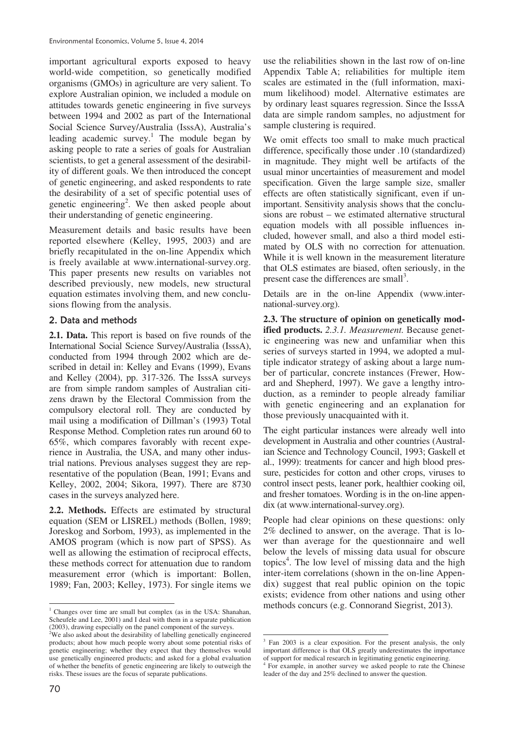important agricultural exports exposed to heavy world-wide competition, so genetically modified organisms (GMOs) in agriculture are very salient. To explore Australian opinion, we included a module on attitudes towards genetic engineering in five surveys between 1994 and 2002 as part of the International Social Science Survey/Australia (IsssA), Australia's leading academic survey.<sup>1</sup> The module began by asking people to rate a series of goals for Australian scientists, to get a general assessment of the desirability of different goals. We then introduced the concept of genetic engineering, and asked respondents to rate the desirability of a set of specific potential uses of genetic engineering<sup>2</sup>. We then asked people about their understanding of genetic engineering.

Measurement details and basic results have been reported elsewhere (Kelley, 1995, 2003) and are briefly recapitulated in the on-line Appendix which is freely available at www.international-survey.org. This paper presents new results on variables not described previously, new models, new structural equation estimates involving them, and new conclusions flowing from the analysis.

# 2. Data and methods

**2.1. Data.** This report is based on five rounds of the International Social Science Survey/Australia (IsssA), conducted from 1994 through 2002 which are described in detail in: Kelley and Evans (1999), Evans and Kelley (2004), pp. 317-326. The IsssA surveys are from simple random samples of Australian citizens drawn by the Electoral Commission from the compulsory electoral roll. They are conducted by mail using a modification of Dillman's (1993) Total Response Method. Completion rates run around 60 to 65%, which compares favorably with recent experience in Australia, the USA, and many other industrial nations. Previous analyses suggest they are representative of the population (Bean, 1991; Evans and Kelley, 2002, 2004; Sikora, 1997). There are 8730 cases in the surveys analyzed here.

**2.2. Methods.** Effects are estimated by structural equation (SEM or LISREL) methods (Bollen, 1989; Joreskog and Sorbom, 1993), as implemented in the AMOS program (which is now part of SPSS). As well as allowing the estimation of reciprocal effects, these methods correct for attenuation due to random measurement error (which is important: Bollen, 1989; Fan, 2003; Kelley, 1973). For single items we

use the reliabilities shown in the last row of on-line Appendix Table A; reliabilities for multiple item scales are estimated in the (full information, maximum likelihood) model. Alternative estimates are by ordinary least squares regression. Since the IsssA data are simple random samples, no adjustment for sample clustering is required.

We omit effects too small to make much practical difference, specifically those under .10 (standardized) in magnitude. They might well be artifacts of the usual minor uncertainties of measurement and model specification. Given the large sample size, smaller effects are often statistically significant, even if unimportant. Sensitivity analysis shows that the conclusions are robust – we estimated alternative structural equation models with all possible influences included, however small, and also a third model estimated by OLS with no correction for attenuation. While it is well known in the measurement literature that OLS estimates are biased, often seriously, in the present case the differences are small<sup>3</sup>.

Details are in the on-line Appendix (www.international-survey.org).

**2.3. The structure of opinion on genetically modified products.** *2.3.1. Measurement.* Because genetic engineering was new and unfamiliar when this series of surveys started in 1994, we adopted a multiple indicator strategy of asking about a large number of particular, concrete instances (Frewer, Howard and Shepherd, 1997). We gave a lengthy introduction, as a reminder to people already familiar with genetic engineering and an explanation for those previously unacquainted with it.

The eight particular instances were already well into development in Australia and other countries (Australian Science and Technology Council, 1993; Gaskell et al., 1999): treatments for cancer and high blood pressure, pesticides for cotton and other crops, viruses to control insect pests, leaner pork, healthier cooking oil, and fresher tomatoes. Wording is in the on-line appendix (at www.international-survey.org).

People had clear opinions on these questions: only 2% declined to answer, on the average. That is lower than average for the questionnaire and well below the levels of missing data usual for obscure topics<sup>4</sup>. The low level of missing data and the high inter-item correlations (shown in the on-line Appendix) suggest that real public opinion on the topic exists; evidence from other nations and using other methods concurs (e.g. Connorand Siegrist, 2013).

 1 Changes over time are small but complex (as in the USA: Shanahan, Scheufele and Lee, 2001) and I deal with them in a separate publication (2003), drawing especially on the panel component of the surveys.

<sup>&</sup>lt;sup>2</sup>We also asked about the desirability of labelling genetically engineered products; about how much people worry about some potential risks of genetic engineering; whether they expect that they themselves would use genetically engineered products; and asked for a global evaluation of whether the benefits of genetic engineering are likely to outweigh the risks. These issues are the focus of separate publications.

<sup>-</sup>3 Fan 2003 is a clear exposition. For the present analysis, the only important difference is that OLS greatly underestimates the importance of support for medical research in legitimating genetic engineering.

<sup>4</sup> For example, in another survey we asked people to rate the Chinese leader of the day and 25% declined to answer the question.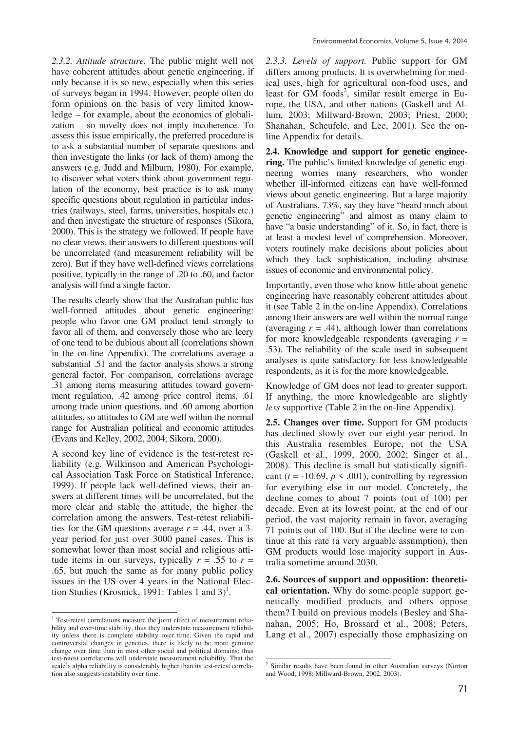*2.3.2. Attitude structure.* The public might well not have coherent attitudes about genetic engineering, if only because it is so new, especially when this series of surveys began in 1994. However, people often do form opinions on the basis of very limited knowledge – for example, about the economics of globalization – so novelty does not imply incoherence. To assess this issue empirically, the preferred procedure is to ask a substantial number of separate questions and then investigate the links (or lack of them) among the answers (e.g. Judd and Milburn, 1980). For example, to discover what voters think about government regulation of the economy, best practice is to ask many specific questions about regulation in particular industries (railways, steel, farms, universities, hospitals etc.) and then investigate the structure of responses (Sikora, 2000). This is the strategy we followed. If people have no clear views, their answers to different questions will be uncorrelated (and measurement reliability will be zero). But if they have well-defined views correlations positive, typically in the range of .20 to .60, and factor analysis will find a single factor.

The results clearly show that the Australian public has well-formed attitudes about genetic engineering: people who favor one GM product tend strongly to favor all of them, and conversely those who are leery of one tend to be dubious about all (correlations shown in the on-line Appendix). The correlations average a substantial .51 and the factor analysis shows a strong general factor. For comparison, correlations average .31 among items measuring attitudes toward government regulation, .42 among price control items, .61 among trade union questions, and .60 among abortion attitudes, so attitudes to GM are well within the normal range for Australian political and economic attitudes (Evans and Kelley, 2002, 2004; Sikora, 2000).

A second key line of evidence is the test-retest reliability (e.g. Wilkinson and American Psychological Association Task Force on Statistical Inference, 1999). If people lack well-defined views, their answers at different times will be uncorrelated, but the more clear and stable the attitude, the higher the correlation among the answers. Test-retest reliabilities for the GM questions average  $r = .44$ , over a 3year period for just over 3000 panel cases. This is somewhat lower than most social and religious attitude items in our surveys, typically  $r = .55$  to  $r =$ .65, but much the same as for many public policy issues in the US over 4 years in the National Election Studies (Krosnick, 1991: Tables 1 and 3)<sup>1</sup>.

<u>.</u> <sup>1</sup> Test-retest correlations measure the joint effect of measurement reliability and over-time stability, thus they understate measurement reliability unless there is complete stability over time. Given the rapid and controversial changes in genetics, there is likely to be more genuine change over time than in most other social and political domains; thus test-retest correlations will understate measurement reliability. That the scale's alpha reliability is considerably higher than its test-retest correlation also suggests instability over time.

*2.3.3. Levels of support.* Public support for GM differs among products. It is overwhelming for medical uses, high for agricultural non-food uses, and least for GM foods<sup>2</sup>, similar result emerge in Europe, the USA, and other nations (Gaskell and Allum, 2003; Millward-Brown, 2003; Priest, 2000; Shanahan, Scheufele, and Lee, 2001). See the online Appendix for details.

**2.4. Knowledge and support for genetic engineering.** The public's limited knowledge of genetic engineering worries many researchers, who wonder whether ill-informed citizens can have well-formed views about genetic engineering. But a large majority of Australians, 73%, say they have "heard much about genetic engineering" and almost as many claim to have "a basic understanding" of it. So, in fact, there is at least a modest level of comprehension. Moreover, voters routinely make decisions about policies about which they lack sophistication, including abstruse issues of economic and environmental policy.

Importantly, even those who know little about genetic engineering have reasonably coherent attitudes about it (see Table 2 in the on-line Appendix). Correlations among their answers are well within the normal range (averaging  $r = .44$ ), although lower than correlations for more knowledgeable respondents (averaging *r* = .53). The reliability of the scale used in subsequent analyses is quite satisfactory for less knowledgeable respondents, as it is for the more knowledgeable.

Knowledge of GM does not lead to greater support. If anything, the more knowledgeable are slightly *less* supportive (Table 2 in the on-line Appendix).

**2.5. Changes over time.** Support for GM products has declined slowly over our eight-year period. In this Australia resembles Europe, not the USA (Gaskell et al., 1999, 2000, 2002; Singer et al., 2008). This decline is small but statistically significant  $(t = -10.69, p \le 0.001)$ , controlling by regression for everything else in our model. Concretely, the decline comes to about 7 points (out of 100) per decade. Even at its lowest point, at the end of our period, the vast majority remain in favor, averaging 71 points out of 100. But if the decline were to continue at this rate (a very arguable assumption), then GM products would lose majority support in Australia sometime around 2030.

**2.6. Sources of support and opposition: theoretical orientation.** Why do some people support genetically modified products and others oppose them? I build on previous models (Besley and Shanahan, 2005; Ho, Brossard et al., 2008; Peters, Lang et al., 2007) especially those emphasizing on

 2 Similar results have been found in other Australian surveys (Norton and Wood, 1998; Millward-Brown, 2002, 2003).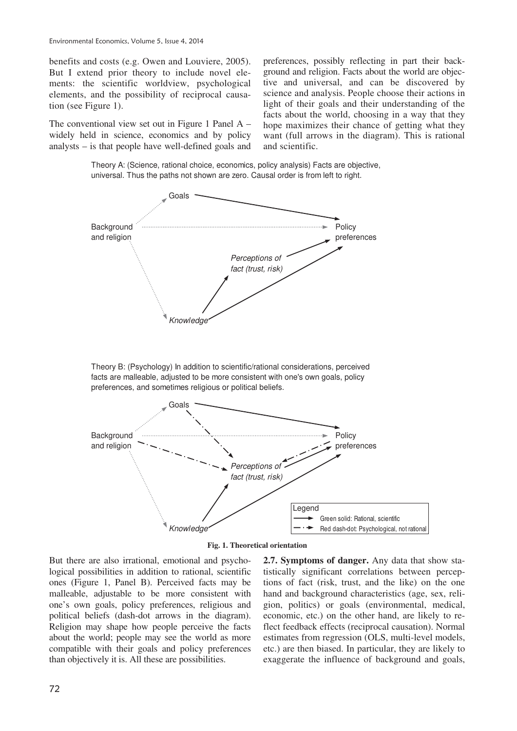benefits and costs (e.g. Owen and Louviere, 2005). But I extend prior theory to include novel elements: the scientific worldview, psychological elements, and the possibility of reciprocal causation (see Figure 1).

The conventional view set out in Figure 1 Panel A – widely held in science, economics and by policy analysts – is that people have well-defined goals and preferences, possibly reflecting in part their background and religion. Facts about the world are objective and universal, and can be discovered by science and analysis. People choose their actions in light of their goals and their understanding of the facts about the world, choosing in a way that they hope maximizes their chance of getting what they want (full arrows in the diagram). This is rational and scientific.

Theory A: (Science, rational choice, economics, policy analysis) Facts are objective, universal. Thus the paths not shown are zero. Causal order is from left to right.



Theory B: (Psychology) In addition to scientific/rational considerations, perceived facts are malleable, adjusted to be more consistent with one's own goals, policy preferences, and sometimes religious or political beliefs.





But there are also irrational, emotional and psychological possibilities in addition to rational, scientific ones (Figure 1, Panel B). Perceived facts may be malleable, adjustable to be more consistent with one's own goals, policy preferences, religious and political beliefs (dash-dot arrows in the diagram). Religion may shape how people perceive the facts about the world; people may see the world as more compatible with their goals and policy preferences than objectively it is. All these are possibilities.

**2.7. Symptoms of danger.** Any data that show statistically significant correlations between perceptions of fact (risk, trust, and the like) on the one hand and background characteristics (age, sex, religion, politics) or goals (environmental, medical, economic, etc.) on the other hand, are likely to reflect feedback effects (reciprocal causation). Normal estimates from regression (OLS, multi-level models, etc.) are then biased. In particular, they are likely to exaggerate the influence of background and goals,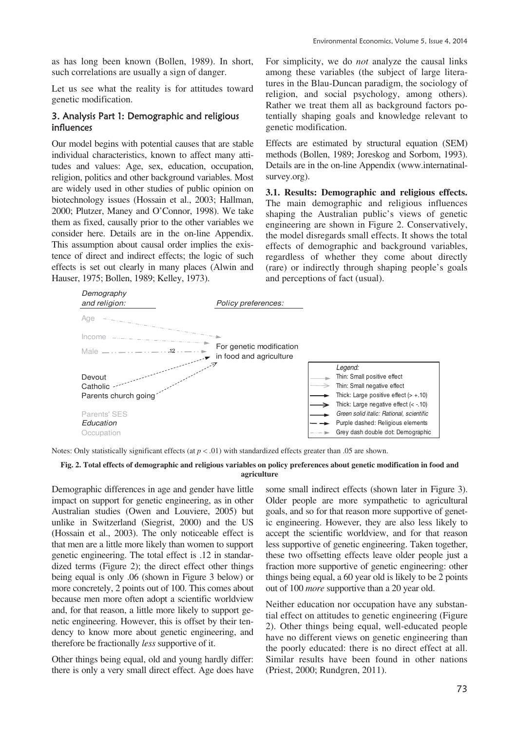as has long been known (Bollen, 1989). In short, such correlations are usually a sign of danger.

Let us see what the reality is for attitudes toward genetic modification.

#### 3. Analysis Part 1: Demographic and religious influences

Our model begins with potential causes that are stable individual characteristics, known to affect many attitudes and values: Age, sex, education, occupation, religion, politics and other background variables. Most are widely used in other studies of public opinion on biotechnology issues (Hossain et al., 2003; Hallman, 2000; Plutzer, Maney and O'Connor, 1998). We take them as fixed, causally prior to the other variables we consider here. Details are in the on-line Appendix. This assumption about causal order implies the existence of direct and indirect effects; the logic of such effects is set out clearly in many places (Alwin and Hauser, 1975; Bollen, 1989; Kelley, 1973).

For simplicity, we do *not* analyze the causal links among these variables (the subject of large literatures in the Blau-Duncan paradigm, the sociology of religion, and social psychology, among others). Rather we treat them all as background factors potentially shaping goals and knowledge relevant to genetic modification.

Effects are estimated by structural equation (SEM) methods (Bollen, 1989; Joreskog and Sorbom, 1993). Details are in the on-line Appendix (www.internatinalsurvey.org).

**3.1. Results: Demographic and religious effects.**  The main demographic and religious influences shaping the Australian public's views of genetic engineering are shown in Figure 2. Conservatively, the model disregards small effects. It shows the total effects of demographic and background variables, regardless of whether they come about directly (rare) or indirectly through shaping people's goals and perceptions of fact (usual).



Notes: Only statistically significant effects (at  $p < .01$ ) with standardized effects greater than .05 are shown.

#### **Fig. 2. Total effects of demographic and religious variables on policy preferences about genetic modification in food and agriculture**

Demographic differences in age and gender have little impact on support for genetic engineering, as in other Australian studies (Owen and Louviere, 2005) but unlike in Switzerland (Siegrist, 2000) and the US (Hossain et al., 2003). The only noticeable effect is that men are a little more likely than women to support genetic engineering. The total effect is .12 in standardized terms (Figure 2); the direct effect other things being equal is only .06 (shown in Figure 3 below) or more concretely, 2 points out of 100. This comes about because men more often adopt a scientific worldview and, for that reason, a little more likely to support genetic engineering. However, this is offset by their tendency to know more about genetic engineering, and therefore be fractionally *less* supportive of it.

Other things being equal, old and young hardly differ: there is only a very small direct effect. Age does have

some small indirect effects (shown later in Figure 3). Older people are more sympathetic to agricultural goals, and so for that reason more supportive of genetic engineering. However, they are also less likely to accept the scientific worldview, and for that reason less supportive of genetic engineering. Taken together, these two offsetting effects leave older people just a fraction more supportive of genetic engineering: other things being equal, a 60 year old is likely to be 2 points out of 100 *more* supportive than a 20 year old.

Neither education nor occupation have any substantial effect on attitudes to genetic engineering (Figure 2). Other things being equal, well-educated people have no different views on genetic engineering than the poorly educated: there is no direct effect at all. Similar results have been found in other nations (Priest, 2000; Rundgren, 2011).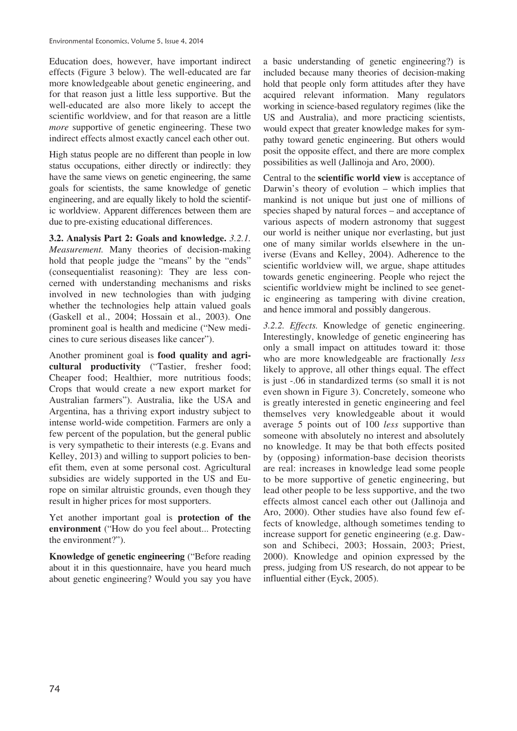Education does, however, have important indirect effects (Figure 3 below). The well-educated are far more knowledgeable about genetic engineering, and for that reason just a little less supportive. But the well-educated are also more likely to accept the scientific worldview, and for that reason are a little *more* supportive of genetic engineering. These two indirect effects almost exactly cancel each other out.

High status people are no different than people in low status occupations, either directly or indirectly: they have the same views on genetic engineering, the same goals for scientists, the same knowledge of genetic engineering, and are equally likely to hold the scientific worldview. Apparent differences between them are due to pre-existing educational differences.

**3.2. Analysis Part 2: Goals and knowledge.** *3.2.1. Measurement.* Many theories of decision-making hold that people judge the "means" by the "ends" (consequentialist reasoning): They are less concerned with understanding mechanisms and risks involved in new technologies than with judging whether the technologies help attain valued goals (Gaskell et al., 2004; Hossain et al., 2003). One prominent goal is health and medicine ("New medicines to cure serious diseases like cancer").

Another prominent goal is **food quality and agricultural productivity** ("Tastier, fresher food; Cheaper food; Healthier, more nutritious foods; Crops that would create a new export market for Australian farmers"). Australia, like the USA and Argentina, has a thriving export industry subject to intense world-wide competition. Farmers are only a few percent of the population, but the general public is very sympathetic to their interests (e.g. Evans and Kelley, 2013) and willing to support policies to benefit them, even at some personal cost. Agricultural subsidies are widely supported in the US and Europe on similar altruistic grounds, even though they result in higher prices for most supporters.

Yet another important goal is **protection of the environment** ("How do you feel about... Protecting the environment?").

**Knowledge of genetic engineering** ("Before reading about it in this questionnaire, have you heard much about genetic engineering? Would you say you have a basic understanding of genetic engineering?) is included because many theories of decision-making hold that people only form attitudes after they have acquired relevant information. Many regulators working in science-based regulatory regimes (like the US and Australia), and more practicing scientists, would expect that greater knowledge makes for sympathy toward genetic engineering. But others would posit the opposite effect, and there are more complex possibilities as well (Jallinoja and Aro, 2000).

Central to the **scientific world view** is acceptance of Darwin's theory of evolution – which implies that mankind is not unique but just one of millions of species shaped by natural forces – and acceptance of various aspects of modern astronomy that suggest our world is neither unique nor everlasting, but just one of many similar worlds elsewhere in the universe (Evans and Kelley, 2004). Adherence to the scientific worldview will, we argue, shape attitudes towards genetic engineering. People who reject the scientific worldview might be inclined to see genetic engineering as tampering with divine creation, and hence immoral and possibly dangerous.

*3.2.2. Effects.* Knowledge of genetic engineering. Interestingly, knowledge of genetic engineering has only a small impact on attitudes toward it: those who are more knowledgeable are fractionally *less* likely to approve, all other things equal. The effect is just -.06 in standardized terms (so small it is not even shown in Figure 3). Concretely, someone who is greatly interested in genetic engineering and feel themselves very knowledgeable about it would average 5 points out of 100 *less* supportive than someone with absolutely no interest and absolutely no knowledge. It may be that both effects posited by (opposing) information-base decision theorists are real: increases in knowledge lead some people to be more supportive of genetic engineering, but lead other people to be less supportive, and the two effects almost cancel each other out (Jallinoja and Aro, 2000). Other studies have also found few effects of knowledge, although sometimes tending to increase support for genetic engineering (e.g. Dawson and Schibeci, 2003; Hossain, 2003; Priest, 2000). Knowledge and opinion expressed by the press, judging from US research, do not appear to be influential either (Eyck, 2005).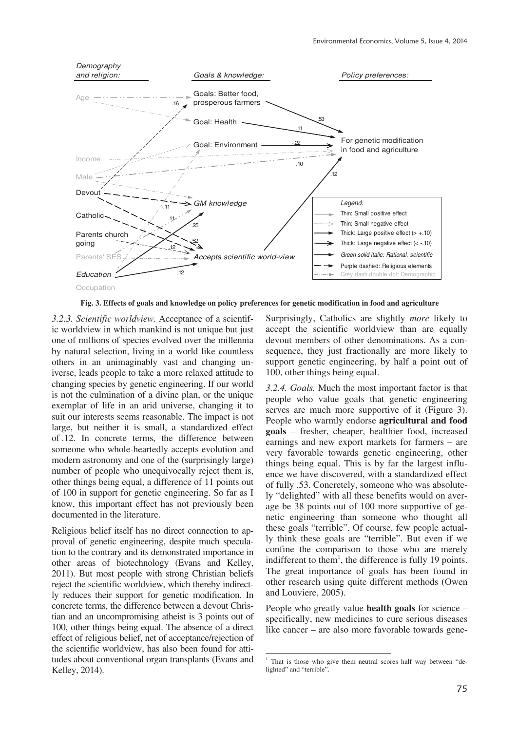

**Fig. 3. Effects of goals and knowledge on policy preferences for genetic modification in food and agriculture**

<u>.</u>

*3.2.3. Scientific worldview.* Acceptance of a scientific worldview in which mankind is not unique but just one of millions of species evolved over the millennia by natural selection, living in a world like countless others in an unimaginably vast and changing universe, leads people to take a more relaxed attitude to changing species by genetic engineering. If our world is not the culmination of a divine plan, or the unique exemplar of life in an arid universe, changing it to suit our interests seems reasonable. The impact is not large, but neither it is small, a standardized effect of .12. In concrete terms, the difference between someone who whole-heartedly accepts evolution and modern astronomy and one of the (surprisingly large) number of people who unequivocally reject them is, other things being equal, a difference of 11 points out of 100 in support for genetic engineering. So far as I know, this important effect has not previously been documented in the literature.

Religious belief itself has no direct connection to approval of genetic engineering, despite much speculation to the contrary and its demonstrated importance in other areas of biotechnology (Evans and Kelley, 2011). But most people with strong Christian beliefs reject the scientific worldview, which thereby indirectly reduces their support for genetic modification. In concrete terms, the difference between a devout Christian and an uncompromising atheist is 3 points out of 100, other things being equal. The absence of a direct effect of religious belief, net of acceptance/rejection of the scientific worldview, has also been found for attitudes about conventional organ transplants (Evans and Kelley, 2014).

Surprisingly, Catholics are slightly *more* likely to accept the scientific worldview than are equally devout members of other denominations. As a consequence, they just fractionally are more likely to support genetic engineering, by half a point out of 100, other things being equal.

*3.2.4. Goals.* Much the most important factor is that people who value goals that genetic engineering serves are much more supportive of it (Figure 3). People who warmly endorse **agricultural and food goals** – fresher, cheaper, healthier food, increased earnings and new export markets for farmers – are very favorable towards genetic engineering, other things being equal. This is by far the largest influence we have discovered, with a standardized effect of fully .53. Concretely, someone who was absolutely "delighted" with all these benefits would on average be 38 points out of 100 more supportive of genetic engineering than someone who thought all these goals "terrible". Of course, few people actually think these goals are "terrible". But even if we confine the comparison to those who are merely indifferent to them<sup>1</sup>, the difference is fully 19 points. The great importance of goals has been found in other research using quite different methods (Owen and Louviere, 2005).

People who greatly value **health goals** for science – specifically, new medicines to cure serious diseases like cancer – are also more favorable towards gene-

<sup>1</sup> That is those who give them neutral scores half way between "delighted" and "terrible".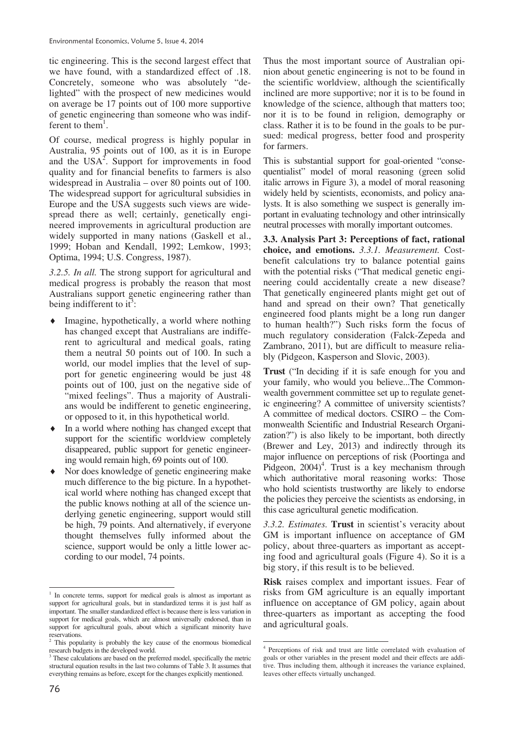tic engineering. This is the second largest effect that we have found, with a standardized effect of .18. Concretely, someone who was absolutely "delighted" with the prospect of new medicines would on average be 17 points out of 100 more supportive of genetic engineering than someone who was indifferent to them<sup>1</sup>.

Of course, medical progress is highly popular in Australia, 95 points out of 100, as it is in Europe and the USA<sup>2</sup>. Support for improvements in food quality and for financial benefits to farmers is also widespread in Australia – over 80 points out of 100. The widespread support for agricultural subsidies in Europe and the USA suggests such views are widespread there as well; certainly, genetically engineered improvements in agricultural production are widely supported in many nations (Gaskell et al., 1999; Hoban and Kendall, 1992; Lemkow, 1993; Optima, 1994; U.S. Congress, 1987).

*3.2.5. In all.* The strong support for agricultural and medical progress is probably the reason that most Australians support genetic engineering rather than being indifferent to it<sup>3</sup>:

- Imagine, hypothetically, a world where nothing has changed except that Australians are indifferent to agricultural and medical goals, rating them a neutral 50 points out of 100. In such a world, our model implies that the level of support for genetic engineering would be just 48 points out of 100, just on the negative side of "mixed feelings". Thus a majority of Australians would be indifferent to genetic engineering, or opposed to it, in this hypothetical world.
- In a world where nothing has changed except that support for the scientific worldview completely disappeared, public support for genetic engineering would remain high, 69 points out of 100.
- $\bullet$  Nor does knowledge of genetic engineering make much difference to the big picture. In a hypothetical world where nothing has changed except that the public knows nothing at all of the science underlying genetic engineering, support would still be high, 79 points. And alternatively, if everyone thought themselves fully informed about the science, support would be only a little lower according to our model, 74 points.

Thus the most important source of Australian opinion about genetic engineering is not to be found in the scientific worldview, although the scientifically inclined are more supportive; nor it is to be found in knowledge of the science, although that matters too; nor it is to be found in religion, demography or class. Rather it is to be found in the goals to be pursued: medical progress, better food and prosperity for farmers.

This is substantial support for goal-oriented "consequentialist" model of moral reasoning (green solid italic arrows in Figure 3), a model of moral reasoning widely held by scientists, economists, and policy analysts. It is also something we suspect is generally important in evaluating technology and other intrinsically neutral processes with morally important outcomes.

**3.3. Analysis Part 3: Perceptions of fact, rational choice, and emotions.** *3.3.1. Measurement.* Costbenefit calculations try to balance potential gains with the potential risks ("That medical genetic engineering could accidentally create a new disease? That genetically engineered plants might get out of hand and spread on their own? That genetically engineered food plants might be a long run danger to human health?") Such risks form the focus of much regulatory consideration (Falck-Zepeda and Zambrano, 2011), but are difficult to measure reliably (Pidgeon, Kasperson and Slovic, 2003).

**Trust** ("In deciding if it is safe enough for you and your family, who would you believe...The Commonwealth government committee set up to regulate genetic engineering? A committee of university scientists? A committee of medical doctors. CSIRO – the Commonwealth Scientific and Industrial Research Organization?") is also likely to be important, both directly (Brewer and Ley, 2013) and indirectly through its major influence on perceptions of risk (Poortinga and Pidgeon,  $2004$ <sup>4</sup>. Trust is a key mechanism through which authoritative moral reasoning works: Those who hold scientists trustworthy are likely to endorse the policies they perceive the scientists as endorsing, in this case agricultural genetic modification.

*3.3.2. Estimates.* **Trust** in scientist's veracity about GM is important influence on acceptance of GM policy, about three-quarters as important as accepting food and agricultural goals (Figure 4). So it is a big story, if this result is to be believed.

**Risk** raises complex and important issues. Fear of risks from GM agriculture is an equally important influence on acceptance of GM policy, again about three-quarters as important as accepting the food and agricultural goals.

 $\overline{a}$ 

<sup>1</sup> In concrete terms, support for medical goals is almost as important as support for agricultural goals, but in standardized terms it is just half as important. The smaller standardized effect is because there is less variation in support for medical goals, which are almost universally endorsed, than in support for agricultural goals, about which a significant minority have

reservations. 2 This popularity is probably the key cause of the enormous biomedical research budgets in the developed world.

<sup>&</sup>lt;sup>3</sup> These calculations are based on the preferred model, specifically the metric structural equation results in the last two columns of Table 3. It assumes that everything remains as before, except for the changes explicitly mentioned.

 4 Perceptions of risk and trust are little correlated with evaluation of goals or other variables in the present model and their effects are additive. Thus including them, although it increases the variance explained, leaves other effects virtually unchanged.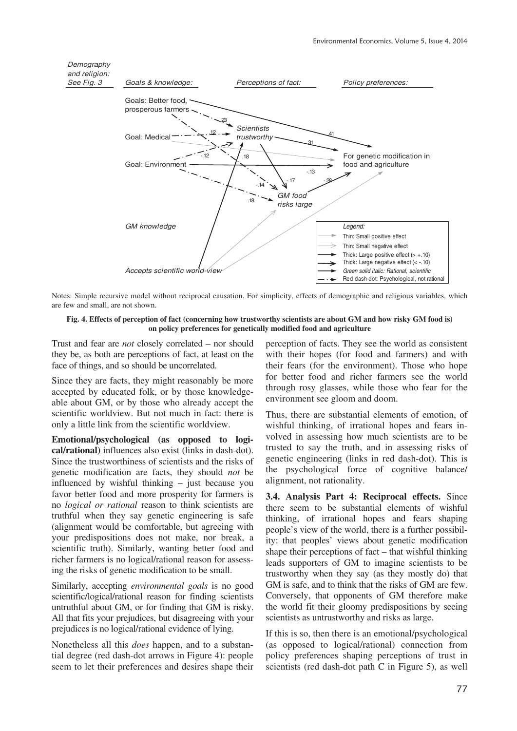

Notes: Simple recursive model without reciprocal causation. For simplicity, effects of demographic and religious variables, which are few and small, are not shown.

#### **Fig. 4. Effects of perception of fact (concerning how trustworthy scientists are about GM and how risky GM food is) on policy preferences for genetically modified food and agriculture**

Trust and fear are *not* closely correlated – nor should they be, as both are perceptions of fact, at least on the face of things, and so should be uncorrelated.

Since they are facts, they might reasonably be more accepted by educated folk, or by those knowledgeable about GM, or by those who already accept the scientific worldview. But not much in fact: there is only a little link from the scientific worldview.

**Emotional/psychological (as opposed to logical/rational)** influences also exist (links in dash-dot). Since the trustworthiness of scientists and the risks of genetic modification are facts, they should *not* be influenced by wishful thinking – just because you favor better food and more prosperity for farmers is no *logical or rational* reason to think scientists are truthful when they say genetic engineering is safe (alignment would be comfortable, but agreeing with your predispositions does not make, nor break, a scientific truth). Similarly, wanting better food and richer farmers is no logical/rational reason for assessing the risks of genetic modification to be small.

Similarly, accepting *environmental goals* is no good scientific/logical/rational reason for finding scientists untruthful about GM, or for finding that GM is risky. All that fits your prejudices, but disagreeing with your prejudices is no logical/rational evidence of lying.

Nonetheless all this *does* happen, and to a substantial degree (red dash-dot arrows in Figure 4): people seem to let their preferences and desires shape their

perception of facts. They see the world as consistent with their hopes (for food and farmers) and with their fears (for the environment). Those who hope for better food and richer farmers see the world through rosy glasses, while those who fear for the environment see gloom and doom.

Thus, there are substantial elements of emotion, of wishful thinking, of irrational hopes and fears involved in assessing how much scientists are to be trusted to say the truth, and in assessing risks of genetic engineering (links in red dash-dot). This is the psychological force of cognitive balance/ alignment, not rationality.

**3.4. Analysis Part 4: Reciprocal effects.** Since there seem to be substantial elements of wishful thinking, of irrational hopes and fears shaping people's view of the world, there is a further possibility: that peoples' views about genetic modification shape their perceptions of fact – that wishful thinking leads supporters of GM to imagine scientists to be trustworthy when they say (as they mostly do) that GM is safe, and to think that the risks of GM are few. Conversely, that opponents of GM therefore make the world fit their gloomy predispositions by seeing scientists as untrustworthy and risks as large.

If this is so, then there is an emotional/psychological (as opposed to logical/rational) connection from policy preferences shaping perceptions of trust in scientists (red dash-dot path C in Figure 5), as well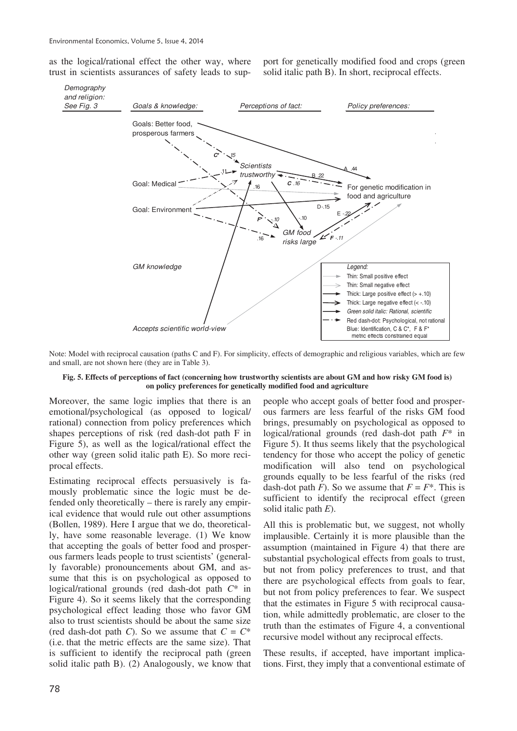as the logical/rational effect the other way, where trust in scientists assurances of safety leads to support for genetically modified food and crops (green solid italic path B). In short, reciprocal effects.



Note: Model with reciprocal causation (paths C and F). For simplicity, effects of demographic and religious variables, which are few and small, are not shown here (they are in Table 3).

#### **Fig. 5. Effects of perceptions of fact (concerning how trustworthy scientists are about GM and how risky GM food is) on policy preferences for genetically modified food and agriculture**

Moreover, the same logic implies that there is an emotional/psychological (as opposed to logical/ rational) connection from policy preferences which shapes perceptions of risk (red dash-dot path F in Figure 5), as well as the logical/rational effect the other way (green solid italic path E). So more reciprocal effects.

Estimating reciprocal effects persuasively is famously problematic since the logic must be defended only theoretically – there is rarely any empirical evidence that would rule out other assumptions (Bollen, 1989). Here I argue that we do, theoretically, have some reasonable leverage. (1) We know that accepting the goals of better food and prosperous farmers leads people to trust scientists' (generally favorable) pronouncements about GM, and assume that this is on psychological as opposed to logical/rational grounds (red dash-dot path *C*\* in Figure 4). So it seems likely that the corresponding psychological effect leading those who favor GM also to trust scientists should be about the same size (red dash-dot path *C*). So we assume that  $C = C^*$ (i.e. that the metric effects are the same size). That is sufficient to identify the reciprocal path (green solid italic path B). (2) Analogously, we know that

people who accept goals of better food and prosperous farmers are less fearful of the risks GM food brings, presumably on psychological as opposed to logical/rational grounds (red dash-dot path *F*\* in Figure 5). It thus seems likely that the psychological tendency for those who accept the policy of genetic modification will also tend on psychological grounds equally to be less fearful of the risks (red dash-dot path *F*). So we assume that  $F = F^*$ . This is sufficient to identify the reciprocal effect (green solid italic path *E*).

All this is problematic but, we suggest, not wholly implausible. Certainly it is more plausible than the assumption (maintained in Figure 4) that there are substantial psychological effects from goals to trust, but not from policy preferences to trust, and that there are psychological effects from goals to fear, but not from policy preferences to fear. We suspect that the estimates in Figure 5 with reciprocal causation, while admittedly problematic, are closer to the truth than the estimates of Figure 4, a conventional recursive model without any reciprocal effects.

These results, if accepted, have important implications. First, they imply that a conventional estimate of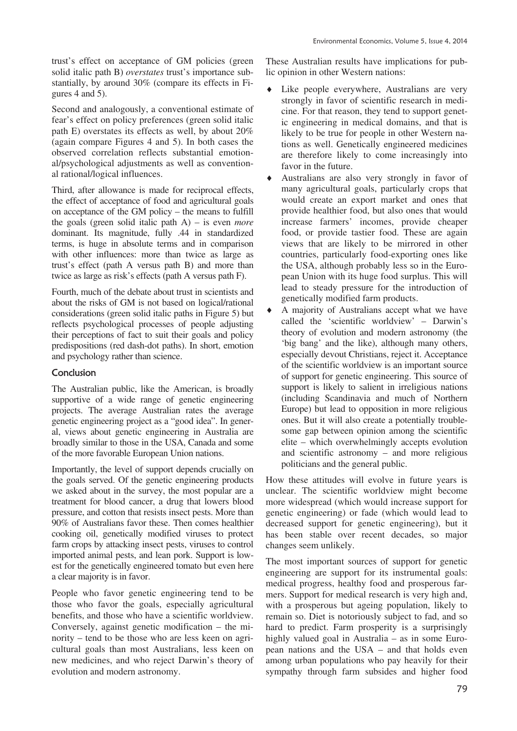trust's effect on acceptance of GM policies (green solid italic path B) *overstates* trust's importance substantially, by around 30% (compare its effects in Figures 4 and 5).

Second and analogously, a conventional estimate of fear's effect on policy preferences (green solid italic path E) overstates its effects as well, by about 20% (again compare Figures 4 and 5). In both cases the observed correlation reflects substantial emotional/psychological adjustments as well as conventional rational/logical influences.

Third, after allowance is made for reciprocal effects, the effect of acceptance of food and agricultural goals on acceptance of the GM policy – the means to fulfill the goals (green solid italic path A) – is even *more* dominant. Its magnitude, fully .44 in standardized terms, is huge in absolute terms and in comparison with other influences: more than twice as large as trust's effect (path A versus path B) and more than twice as large as risk's effects (path A versus path F).

Fourth, much of the debate about trust in scientists and about the risks of GM is not based on logical/rational considerations (green solid italic paths in Figure 5) but reflects psychological processes of people adjusting their perceptions of fact to suit their goals and policy predispositions (red dash-dot paths). In short, emotion and psychology rather than science.

# Conclusion

The Australian public, like the American, is broadly supportive of a wide range of genetic engineering projects. The average Australian rates the average genetic engineering project as a "good idea". In general, views about genetic engineering in Australia are broadly similar to those in the USA, Canada and some of the more favorable European Union nations.

Importantly, the level of support depends crucially on the goals served. Of the genetic engineering products we asked about in the survey, the most popular are a treatment for blood cancer, a drug that lowers blood pressure, and cotton that resists insect pests. More than 90% of Australians favor these. Then comes healthier cooking oil, genetically modified viruses to protect farm crops by attacking insect pests, viruses to control imported animal pests, and lean pork. Support is lowest for the genetically engineered tomato but even here a clear majority is in favor.

People who favor genetic engineering tend to be those who favor the goals, especially agricultural benefits, and those who have a scientific worldview. Conversely, against genetic modification – the minority – tend to be those who are less keen on agricultural goals than most Australians, less keen on new medicines, and who reject Darwin's theory of evolution and modern astronomy.

These Australian results have implications for public opinion in other Western nations:

- Like people everywhere, Australians are very strongly in favor of scientific research in medicine. For that reason, they tend to support genetic engineering in medical domains, and that is likely to be true for people in other Western nations as well. Genetically engineered medicines are therefore likely to come increasingly into favor in the future.
- Australians are also very strongly in favor of many agricultural goals, particularly crops that would create an export market and ones that provide healthier food, but also ones that would increase farmers' incomes, provide cheaper food, or provide tastier food. These are again views that are likely to be mirrored in other countries, particularly food-exporting ones like the USA, although probably less so in the European Union with its huge food surplus. This will lead to steady pressure for the introduction of genetically modified farm products.
- A majority of Australians accept what we have called the 'scientific worldview' – Darwin's theory of evolution and modern astronomy (the 'big bang' and the like), although many others, especially devout Christians, reject it. Acceptance of the scientific worldview is an important source of support for genetic engineering. This source of support is likely to salient in irreligious nations (including Scandinavia and much of Northern Europe) but lead to opposition in more religious ones. But it will also create a potentially troublesome gap between opinion among the scientific elite – which overwhelmingly accepts evolution and scientific astronomy – and more religious politicians and the general public.

How these attitudes will evolve in future years is unclear. The scientific worldview might become more widespread (which would increase support for genetic engineering) or fade (which would lead to decreased support for genetic engineering), but it has been stable over recent decades, so major changes seem unlikely.

The most important sources of support for genetic engineering are support for its instrumental goals: medical progress, healthy food and prosperous farmers. Support for medical research is very high and, with a prosperous but ageing population, likely to remain so. Diet is notoriously subject to fad, and so hard to predict. Farm prosperity is a surprisingly highly valued goal in Australia – as in some European nations and the USA – and that holds even among urban populations who pay heavily for their sympathy through farm subsides and higher food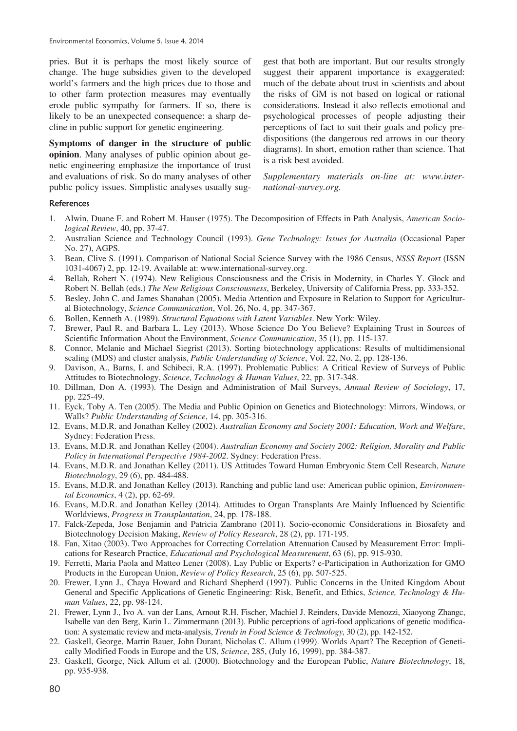pries. But it is perhaps the most likely source of change. The huge subsidies given to the developed world's farmers and the high prices due to those and to other farm protection measures may eventually erode public sympathy for farmers. If so, there is likely to be an unexpected consequence: a sharp decline in public support for genetic engineering.

**Symptoms of danger in the structure of public opinion**. Many analyses of public opinion about genetic engineering emphasize the importance of trust and evaluations of risk. So do many analyses of other public policy issues. Simplistic analyses usually suggest that both are important. But our results strongly suggest their apparent importance is exaggerated: much of the debate about trust in scientists and about the risks of GM is not based on logical or rational considerations. Instead it also reflects emotional and psychological processes of people adjusting their perceptions of fact to suit their goals and policy predispositions (the dangerous red arrows in our theory diagrams). In short, emotion rather than science. That is a risk best avoided.

*Supplementary materials on-line at: www.international-survey.org.*

### References

- 1. Alwin, Duane F. and Robert M. Hauser (1975). The Decomposition of Effects in Path Analysis, *American Sociological Review*, 40, pp. 37-47.
- 2. Australian Science and Technology Council (1993). *Gene Technology: Issues for Australia* (Occasional Paper No. 27), AGPS.
- 3. Bean, Clive S. (1991). Comparison of National Social Science Survey with the 1986 Census, *NSSS Report* (ISSN 1031-4067) 2, pp. 12-19. Available at: www.international-survey.org.
- 4. Bellah, Robert N. (1974). New Religious Consciousness and the Crisis in Modernity, in Charles Y. Glock and Robert N. Bellah (eds.) *The New Religious Consciousness*, Berkeley, University of California Press, pp. 333-352.
- 5. Besley, John C. and James Shanahan (2005). Media Attention and Exposure in Relation to Support for Agricultural Biotechnology, *Science Communication*, Vol. 26, No. 4, pp. 347-367.
- 6. Bollen, Kenneth A. (1989). *Structural Equations with Latent Variables*. New York: Wiley.
- 7. Brewer, Paul R. and Barbara L. Ley (2013). Whose Science Do You Believe? Explaining Trust in Sources of Scientific Information About the Environment, *Science Communication*, 35 (1), pp. 115-137.
- 8. Connor, Melanie and Michael Siegrist (2013). Sorting biotechnology applications: Results of multidimensional scaling (MDS) and cluster analysis, *Public Understanding of Science*, Vol. 22, No. 2, pp. 128-136.
- 9. Davison, A., Barns, I. and Schibeci, R.A. (1997). Problematic Publics: A Critical Review of Surveys of Public Attitudes to Biotechnology, *Science, Technology & Human Values*, 22, pp. 317-348.
- 10. Dillman, Don A. (1993). The Design and Administration of Mail Surveys, *Annual Review of Sociology*, 17, pp. 225-49.
- 11. Eyck, Toby A. Ten (2005). The Media and Public Opinion on Genetics and Biotechnology: Mirrors, Windows, or Walls? *Public Understanding of Science*, 14, pp. 305-316.
- 12. Evans, M.D.R. and Jonathan Kelley (2002). *Australian Economy and Society 2001: Education, Work and Welfare*, Sydney: Federation Press.
- 13. Evans, M.D.R. and Jonathan Kelley (2004). *Australian Economy and Society 2002: Religion, Morality and Public Policy in International Perspective 1984-2002*. Sydney: Federation Press.
- 14. Evans, M.D.R. and Jonathan Kelley (2011). US Attitudes Toward Human Embryonic Stem Cell Research, *Nature Biotechnology*, 29 (6), pp. 484-488.
- 15. Evans, M.D.R. and Jonathan Kelley (2013). Ranching and public land use: American public opinion, *Environmental Economics*, 4 (2), pp. 62-69.
- 16. Evans, M.D.R. and Jonathan Kelley (2014). Attitudes to Organ Transplants Are Mainly Influenced by Scientific Worldviews, *Progress in Transplantation*, 24, pp. 178-188.
- 17. Falck-Zepeda, Jose Benjamin and Patricia Zambrano (2011). Socio-economic Considerations in Biosafety and Biotechnology Decision Making, *Review of Policy Research*, 28 (2), pp. 171-195.
- 18. Fan, Xitao (2003). Two Approaches for Correcting Correlation Attenuation Caused by Measurement Error: Implications for Research Practice, *Educational and Psychological Measurement*, 63 (6), pp. 915-930.
- 19. Ferretti, Maria Paola and Matteo Lener (2008). Lay Public or Experts? e-Participation in Authorization for GMO Products in the European Union, *Review of Policy Research*, 25 (6), pp. 507-525.
- 20. Frewer, Lynn J., Chaya Howard and Richard Shepherd (1997). Public Concerns in the United Kingdom About General and Specific Applications of Genetic Engineering: Risk, Benefit, and Ethics, *Science, Technology & Human Values*, 22, pp. 98-124.
- 21. Frewer, Lynn J., Ivo A. van der Lans, Arnout R.H. Fischer, Machiel J. Reinders, Davide Menozzi, Xiaoyong Zhangc, Isabelle van den Berg, Karin L. Zimmermann (2013). Public perceptions of agri-food applications of genetic modification: A systematic review and meta-analysis, *Trends in Food Science & Technology*, 30 (2), pp. 142-152.
- 22. Gaskell, George, Martin Bauer, John Durant, Nicholas C. Allum (1999). Worlds Apart? The Reception of Genetically Modified Foods in Europe and the US, *Science*, 285, (July 16, 1999), pp. 384-387.
- 23. Gaskell, George, Nick Allum et al. (2000). Biotechnology and the European Public, *Nature Biotechnology*, 18, pp. 935-938.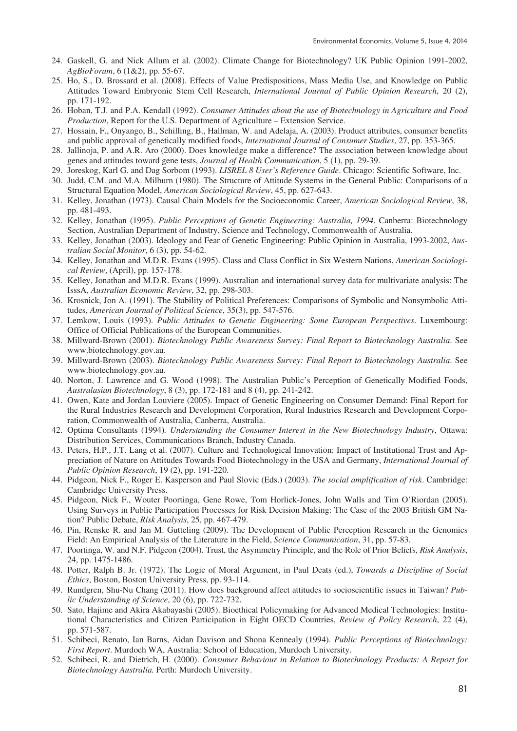- 24. Gaskell, G. and Nick Allum et al. (2002). Climate Change for Biotechnology? UK Public Opinion 1991-2002, *AgBioForum*, 6 (1&2), pp. 55-67.
- 25. Ho, S., D. Brossard et al. (2008). Effects of Value Predispositions, Mass Media Use, and Knowledge on Public Attitudes Toward Embryonic Stem Cell Research, *International Journal of Public Opinion Research*, 20 (2), pp. 171-192.
- 26. Hoban, T.J. and P.A. Kendall (1992). *Consumer Attitudes about the use of Biotechnology in Agriculture and Food Production*, Report for the U.S. Department of Agriculture – Extension Service.
- 27. Hossain, F., Onyango, B., Schilling, B., Hallman, W. and Adelaja, A. (2003). Product attributes, consumer benefits and public approval of genetically modified foods, *International Journal of Consumer Studies*, 27, pp. 353-365.
- 28. Jallinoja, P. and A.R. Aro (2000). Does knowledge make a difference? The association between knowledge about genes and attitudes toward gene tests, *Journal of Health Communication*, 5 (1), pp. 29-39.
- 29. Joreskog, Karl G. and Dag Sorbom (1993). *LISREL 8 User's Reference Guide*. Chicago: Scientific Software, Inc.
- 30. Judd, C.M. and M.A. Milburn (1980). The Structure of Attitude Systems in the General Public: Comparisons of a Structural Equation Model, *American Sociological Review*, 45, pp. 627-643.
- 31. Kelley, Jonathan (1973). Causal Chain Models for the Socioeconomic Career, *American Sociological Review*, 38, pp. 481-493.
- 32. Kelley, Jonathan (1995). *Public Perceptions of Genetic Engineering: Australia, 1994*. Canberra: Biotechnology Section, Australian Department of Industry, Science and Technology, Commonwealth of Australia.
- 33. Kelley, Jonathan (2003). Ideology and Fear of Genetic Engineering: Public Opinion in Australia, 1993-2002, *Australian Social Monitor*, 6 (3), pp. 54-62.
- 34. Kelley, Jonathan and M.D.R. Evans (1995). Class and Class Conflict in Six Western Nations, *American Sociological Review*, (April), pp. 157-178.
- 35. Kelley, Jonathan and M.D.R. Evans (1999). Australian and international survey data for multivariate analysis: The IsssA, *Australian Economic Review*, 32, pp. 298-303.
- 36. Krosnick, Jon A. (1991). The Stability of Political Preferences: Comparisons of Symbolic and Nonsymbolic Attitudes, *American Journal of Political Science*, 35(3), pp. 547-576.
- 37. Lemkow, Louis (1993). *Public Attitudes to Genetic Engineering: Some European Perspectives*. Luxembourg: Office of Official Publications of the European Communities.
- 38. Millward-Brown (2001). *Biotechnology Public Awareness Survey: Final Report to Biotechnology Australia*. See www.biotechnology.gov.au.
- 39. Millward-Brown (2003). *Biotechnology Public Awareness Survey: Final Report to Biotechnology Australia*. See www.biotechnology.gov.au.
- 40. Norton, J. Lawrence and G. Wood (1998). The Australian Public's Perception of Genetically Modified Foods, *Australasian Biotechnology*, 8 (3), pp. 172-181 and 8 (4), pp. 241-242.
- 41. Owen, Kate and Jordan Louviere (2005). Impact of Genetic Engineering on Consumer Demand: Final Report for the Rural Industries Research and Development Corporation, Rural Industries Research and Development Corporation, Commonwealth of Australia, Canberra, Australia.
- 42. Optima Consultants (1994)*. Understanding the Consumer Interest in the New Biotechnology Industry*, Ottawa: Distribution Services, Communications Branch, Industry Canada.
- 43. Peters, H.P., J.T. Lang et al. (2007). Culture and Technological Innovation: Impact of Institutional Trust and Appreciation of Nature on Attitudes Towards Food Biotechnology in the USA and Germany, *International Journal of Public Opinion Research*, 19 (2), pp. 191-220.
- 44. Pidgeon, Nick F., Roger E. Kasperson and Paul Slovic (Eds.) (2003). *The social amplification of risk*. Cambridge: Cambridge University Press.
- 45. Pidgeon, Nick F., Wouter Poortinga, Gene Rowe, Tom Horlick-Jones, John Walls and Tim O'Riordan (2005). Using Surveys in Public Participation Processes for Risk Decision Making: The Case of the 2003 British GM Nation? Public Debate, *Risk Analysis*, 25, pp. 467-479.
- 46. Pin, Renske R. and Jan M. Gutteling (2009). The Development of Public Perception Research in the Genomics Field: An Empirical Analysis of the Literature in the Field, *Science Communication*, 31, pp. 57-83.
- 47. Poortinga, W. and N.F. Pidgeon (2004). Trust, the Asymmetry Principle, and the Role of Prior Beliefs, *Risk Analysis*, 24, pp. 1475-1486.
- 48. Potter, Ralph B. Jr. (1972). The Logic of Moral Argument, in Paul Deats (ed.), *Towards a Discipline of Social Ethics*, Boston, Boston University Press, pp. 93-114.
- 49. Rundgren, Shu-Nu Chang (2011). How does background affect attitudes to socioscientific issues in Taiwan? *Public Understanding of Science*, 20 (6), pp. 722-732.
- 50. Sato, Hajime and Akira Akabayashi (2005). Bioethical Policymaking for Advanced Medical Technologies: Institutional Characteristics and Citizen Participation in Eight OECD Countries, *Review of Policy Research*, 22 (4), pp. 571-587.
- 51. Schibeci, Renato, Ian Barns, Aidan Davison and Shona Kennealy (1994). *Public Perceptions of Biotechnology: First Report*. Murdoch WA, Australia: School of Education, Murdoch University.
- 52. Schibeci, R. and Dietrich, H. (2000). *Consumer Behaviour in Relation to Biotechnology Products: A Report for Biotechnology Australia.* Perth: Murdoch University.